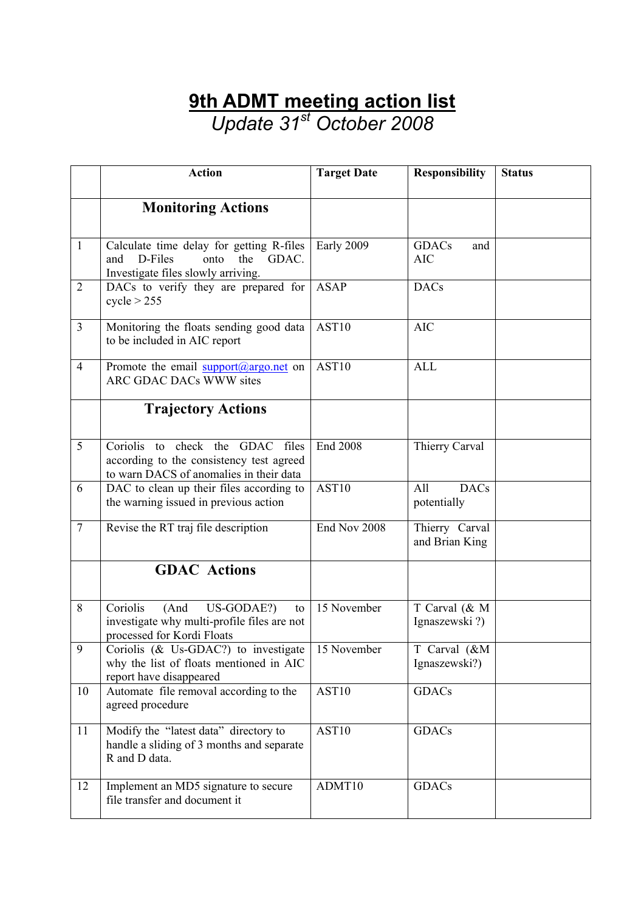## **9th ADMT meeting action list** *Update 31st October 2008*

|                | <b>Action</b>                                                                                                              | <b>Target Date</b> | <b>Responsibility</b>             | <b>Status</b> |
|----------------|----------------------------------------------------------------------------------------------------------------------------|--------------------|-----------------------------------|---------------|
|                | <b>Monitoring Actions</b>                                                                                                  |                    |                                   |               |
| $\mathbf{1}$   | Calculate time delay for getting R-files<br>D-Files<br>and<br>GDAC.<br>onto<br>the<br>Investigate files slowly arriving.   | Early 2009         | <b>GDACs</b><br>and<br><b>AIC</b> |               |
| $\overline{2}$ | DACs to verify they are prepared for<br>cycle > 255                                                                        | <b>ASAP</b>        | <b>DACs</b>                       |               |
| $\overline{3}$ | Monitoring the floats sending good data<br>to be included in AIC report                                                    | AST10              | <b>AIC</b>                        |               |
| $\overline{4}$ | Promote the email $\frac{\text{support}(a)}{\text{argo.net}}$ on<br><b>ARC GDAC DACs WWW sites</b>                         | AST10              | <b>ALL</b>                        |               |
|                | <b>Trajectory Actions</b>                                                                                                  |                    |                                   |               |
| 5              | Coriolis to check the<br>GDAC files<br>according to the consistency test agreed<br>to warn DACS of anomalies in their data | <b>End 2008</b>    | Thierry Carval                    |               |
| 6              | DAC to clean up their files according to<br>the warning issued in previous action                                          | AST10              | All<br><b>DACs</b><br>potentially |               |
| $\overline{7}$ | Revise the RT traj file description                                                                                        | End Nov 2008       | Thierry Carval<br>and Brian King  |               |
|                | <b>GDAC</b> Actions                                                                                                        |                    |                                   |               |
| 8              | Coriolis<br>US-GODAE?)<br>(And<br>to<br>investigate why multi-profile files are not<br>processed for Kordi Floats          | 15 November        | T Carval (& M<br>Ignaszewski?)    |               |
| $\mathbf Q$    | Coriolis (& Us-GDAC?) to investigate<br>why the list of floats mentioned in AIC<br>report have disappeared                 | 15 November        | T Carval (&M<br>Ignaszewski?)     |               |
| 10             | Automate file removal according to the<br>agreed procedure                                                                 | AST10              | <b>GDACs</b>                      |               |
| 11             | Modify the "latest data" directory to<br>handle a sliding of 3 months and separate<br>R and D data.                        | AST10              | <b>GDACs</b>                      |               |
| 12             | Implement an MD5 signature to secure<br>file transfer and document it                                                      | ADMT10             | GDACs                             |               |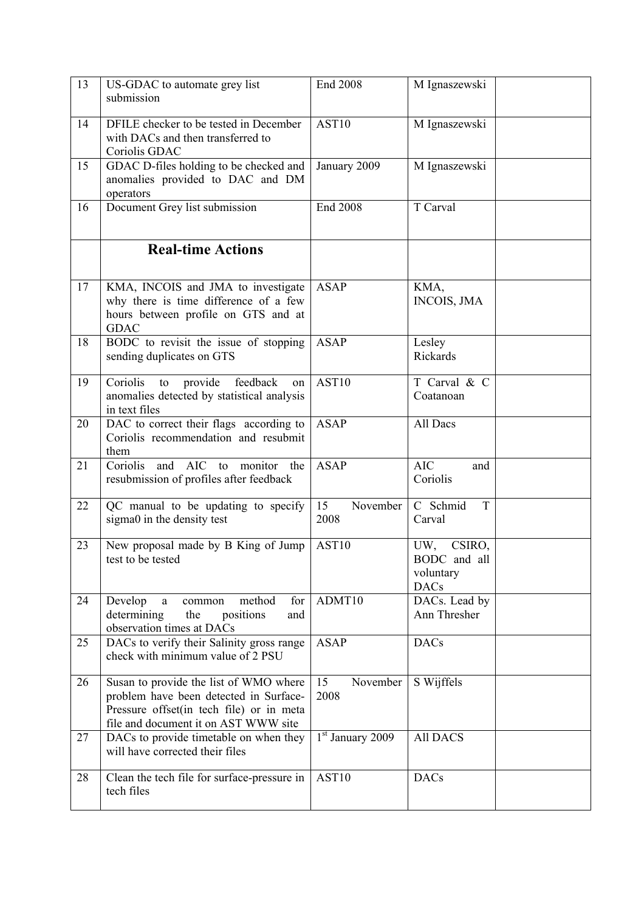| 13 | US-GDAC to automate grey list<br>submission                                                                                                                          | <b>End 2008</b>        | M Ignaszewski                                             |  |
|----|----------------------------------------------------------------------------------------------------------------------------------------------------------------------|------------------------|-----------------------------------------------------------|--|
| 14 | DFILE checker to be tested in December<br>with DACs and then transferred to<br>Coriolis GDAC                                                                         | AST10                  | M Ignaszewski                                             |  |
| 15 | GDAC D-files holding to be checked and<br>anomalies provided to DAC and DM<br>operators                                                                              | January 2009           | M Ignaszewski                                             |  |
| 16 | Document Grey list submission                                                                                                                                        | <b>End 2008</b>        | T Carval                                                  |  |
|    | <b>Real-time Actions</b>                                                                                                                                             |                        |                                                           |  |
| 17 | KMA, INCOIS and JMA to investigate<br>why there is time difference of a few<br>hours between profile on GTS and at<br><b>GDAC</b>                                    | <b>ASAP</b>            | KMA,<br><b>INCOIS, JMA</b>                                |  |
| 18 | BODC to revisit the issue of stopping<br>sending duplicates on GTS                                                                                                   | <b>ASAP</b>            | Lesley<br>Rickards                                        |  |
| 19 | Coriolis<br>provide<br>feedback<br>to<br>on<br>anomalies detected by statistical analysis<br>in text files                                                           | AST10                  | T Carval & C<br>Coatanoan                                 |  |
| 20 | DAC to correct their flags according to<br>Coriolis recommendation and resubmit<br>them                                                                              | <b>ASAP</b>            | All Dacs                                                  |  |
| 21 | Coriolis<br><b>AIC</b><br>monitor<br>and<br>the<br>to<br>resubmission of profiles after feedback                                                                     | <b>ASAP</b>            | <b>AIC</b><br>and<br>Coriolis                             |  |
| 22 | QC manual to be updating to specify<br>sigma0 in the density test                                                                                                    | 15<br>November<br>2008 | C Schmid<br>T<br>Carval                                   |  |
| 23 | New proposal made by B King of Jump<br>test to be tested                                                                                                             | AST10                  | CSIRO,<br>UW,<br>BODC and all<br>voluntary<br><b>DACs</b> |  |
| 24 | Develop<br>method<br>for<br>a<br>common<br>determining<br>positions<br>the<br>and<br>observation times at DACs                                                       | ADMT10                 | DACs. Lead by<br>Ann Thresher                             |  |
| 25 | DACs to verify their Salinity gross range<br>check with minimum value of 2 PSU                                                                                       | <b>ASAP</b>            | <b>DACs</b>                                               |  |
| 26 | Susan to provide the list of WMO where<br>problem have been detected in Surface-<br>Pressure offset(in tech file) or in meta<br>file and document it on AST WWW site | 15<br>November<br>2008 | S Wijffels                                                |  |
| 27 | DACs to provide timetable on when they<br>will have corrected their files                                                                                            | $1st$ January 2009     | <b>All DACS</b>                                           |  |
| 28 | Clean the tech file for surface-pressure in<br>tech files                                                                                                            | AS <sub>T10</sub>      | <b>DACs</b>                                               |  |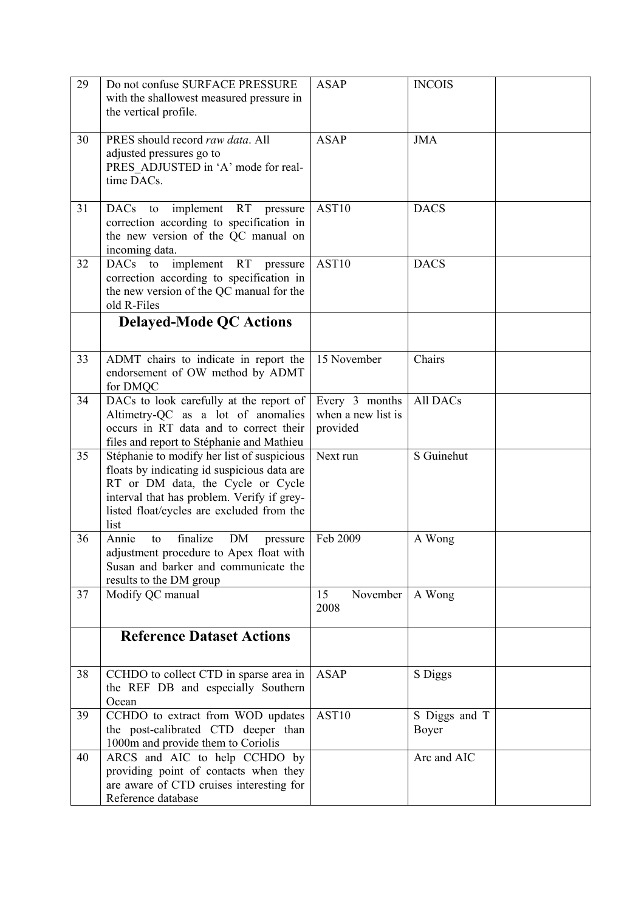| 29 | Do not confuse SURFACE PRESSURE<br>with the shallowest measured pressure in<br>the vertical profile.                                                                                                                              | <b>ASAP</b>                                      | <b>INCOIS</b>          |  |
|----|-----------------------------------------------------------------------------------------------------------------------------------------------------------------------------------------------------------------------------------|--------------------------------------------------|------------------------|--|
| 30 | PRES should record raw data. All<br>adjusted pressures go to<br>PRES ADJUSTED in 'A' mode for real-<br>time DACs.                                                                                                                 | <b>ASAP</b>                                      | <b>JMA</b>             |  |
| 31 | <b>RT</b><br>DACs to<br>implement<br>pressure<br>correction according to specification in<br>the new version of the QC manual on<br>incoming data.                                                                                | AST10                                            | <b>DACS</b>            |  |
| 32 | implement<br><b>RT</b><br>DACs to<br>pressure<br>correction according to specification in<br>the new version of the QC manual for the<br>old R-Files                                                                              | AST10                                            | <b>DACS</b>            |  |
|    | <b>Delayed-Mode QC Actions</b>                                                                                                                                                                                                    |                                                  |                        |  |
| 33 | ADMT chairs to indicate in report the<br>endorsement of OW method by ADMT<br>for DMQC                                                                                                                                             | 15 November                                      | Chairs                 |  |
| 34 | DACs to look carefully at the report of<br>Altimetry-QC as a lot of anomalies<br>occurs in RT data and to correct their<br>files and report to Stéphanie and Mathieu                                                              | Every 3 months<br>when a new list is<br>provided | All DACs               |  |
| 35 | Stéphanie to modify her list of suspicious<br>floats by indicating id suspicious data are<br>RT or DM data, the Cycle or Cycle<br>interval that has problem. Verify if grey-<br>listed float/cycles are excluded from the<br>list | Next run                                         | S Guinehut             |  |
| 36 | finalize<br>DM<br>Annie<br>to<br>pressure<br>adjustment procedure to Apex float with<br>Susan and barker and communicate the<br>results to the DM group                                                                           | Feb 2009                                         | A Wong                 |  |
| 37 | Modify QC manual                                                                                                                                                                                                                  | 15<br>November<br>2008                           | A Wong                 |  |
|    | <b>Reference Dataset Actions</b>                                                                                                                                                                                                  |                                                  |                        |  |
| 38 | CCHDO to collect CTD in sparse area in<br>the REF DB and especially Southern<br>Ocean                                                                                                                                             | <b>ASAP</b>                                      | S Diggs                |  |
| 39 | CCHDO to extract from WOD updates<br>the post-calibrated CTD deeper than<br>1000m and provide them to Coriolis                                                                                                                    | AST10                                            | S Diggs and T<br>Boyer |  |
| 40 | ARCS and AIC to help CCHDO by<br>providing point of contacts when they<br>are aware of CTD cruises interesting for<br>Reference database                                                                                          |                                                  | Arc and AIC            |  |